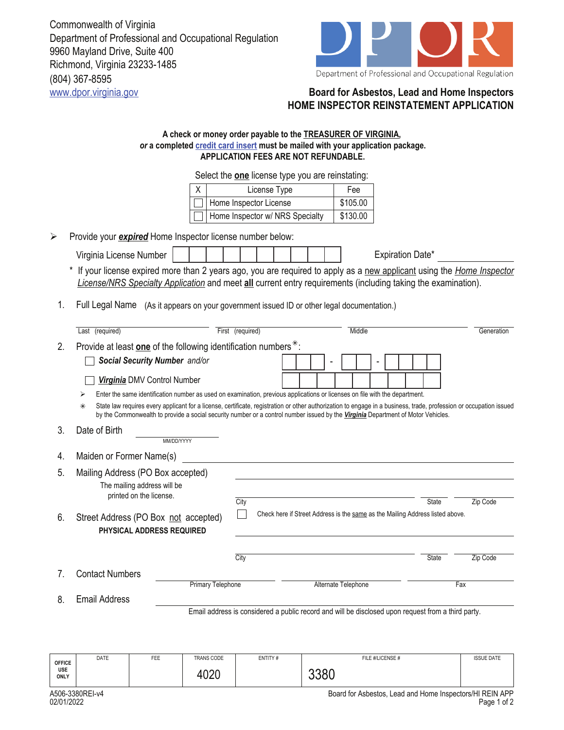Commonwealth of Virginia Department of Professional and Occupational Regulation 9960 Mayland Drive, Suite 400 Richmond, Virginia 23233-1485 (804) 367-8595 www.dpor.virginia.gov **Board for Asbestos, Lead and Home Inspectors**



## **HOME INSPECTOR REINSTATEMENT APPLICATION**

## **A check or money order payable to the TREASURER OF VIRGINIA,**  *or* **a completed credit card insert must be mailed with your application package. APPLICATION FEES ARE NOT REFUNDABLE.**

Select the **one** license type you are reinstating:

| License Type                    | Fee      |  |  |  |
|---------------------------------|----------|--|--|--|
| Home Inspector License          | \$105.00 |  |  |  |
| Home Inspector w/ NRS Specialty | \$130.00 |  |  |  |

¾ Provide your *expired* Home Inspector license number below:

Virginia License Number Expiration Date\*

\* If your license expired more than 2 years ago, you are required to apply as a new applicant using the *Home Inspector License/NRS Specialty Application* and meet **all** current entry requirements (including taking the examination).

1. Full Legal Name (As it appears on your government issued ID or other legal documentation.)

|                                                                                   | Last (required)                                                                                                                                                                                                                                                                                                  |                                                                                                    | First (required) |                                                                               |                     |  | Middle |  |  |  |  |  |     | Generation   |  |          |
|-----------------------------------------------------------------------------------|------------------------------------------------------------------------------------------------------------------------------------------------------------------------------------------------------------------------------------------------------------------------------------------------------------------|----------------------------------------------------------------------------------------------------|------------------|-------------------------------------------------------------------------------|---------------------|--|--------|--|--|--|--|--|-----|--------------|--|----------|
| Provide at least one of the following identification numbers <sup>*</sup> :<br>2. |                                                                                                                                                                                                                                                                                                                  |                                                                                                    |                  |                                                                               |                     |  |        |  |  |  |  |  |     |              |  |          |
|                                                                                   | Social Security Number and/or                                                                                                                                                                                                                                                                                    |                                                                                                    |                  |                                                                               |                     |  |        |  |  |  |  |  |     |              |  |          |
|                                                                                   | Virginia DMV Control Number                                                                                                                                                                                                                                                                                      |                                                                                                    |                  |                                                                               |                     |  |        |  |  |  |  |  |     |              |  |          |
|                                                                                   | Enter the same identification number as used on examination, previous applications or licenses on file with the department.                                                                                                                                                                                      |                                                                                                    |                  |                                                                               |                     |  |        |  |  |  |  |  |     |              |  |          |
|                                                                                   | State law requires every applicant for a license, certificate, registration or other authorization to engage in a business, trade, profession or occupation issued<br>$\ast$<br>by the Commonwealth to provide a social security number or a control number issued by the Virginia Department of Motor Vehicles. |                                                                                                    |                  |                                                                               |                     |  |        |  |  |  |  |  |     |              |  |          |
| 3.                                                                                | Date of Birth                                                                                                                                                                                                                                                                                                    | MM/DD/YYYY                                                                                         |                  |                                                                               |                     |  |        |  |  |  |  |  |     |              |  |          |
| 4.                                                                                | Maiden or Former Name(s)                                                                                                                                                                                                                                                                                         |                                                                                                    |                  |                                                                               |                     |  |        |  |  |  |  |  |     |              |  |          |
| 5.                                                                                | Mailing Address (PO Box accepted)<br>The mailing address will be<br>printed on the license.                                                                                                                                                                                                                      |                                                                                                    | City             |                                                                               |                     |  |        |  |  |  |  |  |     | <b>State</b> |  | Zip Code |
| 6.                                                                                | Street Address (PO Box not accepted)<br>PHYSICAL ADDRESS REQUIRED                                                                                                                                                                                                                                                |                                                                                                    |                  | Check here if Street Address is the same as the Mailing Address listed above. |                     |  |        |  |  |  |  |  |     |              |  |          |
|                                                                                   |                                                                                                                                                                                                                                                                                                                  |                                                                                                    | City             |                                                                               |                     |  |        |  |  |  |  |  |     | <b>State</b> |  | Zip Code |
| $7_{\scriptscriptstyle{\ddots}}$                                                  | <b>Contact Numbers</b>                                                                                                                                                                                                                                                                                           |                                                                                                    |                  |                                                                               |                     |  |        |  |  |  |  |  |     |              |  |          |
|                                                                                   |                                                                                                                                                                                                                                                                                                                  | Primary Telephone                                                                                  |                  |                                                                               | Alternate Telephone |  |        |  |  |  |  |  | Fax |              |  |          |
| 8.                                                                                | Email Address                                                                                                                                                                                                                                                                                                    |                                                                                                    |                  |                                                                               |                     |  |        |  |  |  |  |  |     |              |  |          |
|                                                                                   |                                                                                                                                                                                                                                                                                                                  | Email address is considered a public record and will be disclosed upon request from a third party. |                  |                                                                               |                     |  |        |  |  |  |  |  |     |              |  |          |

| <b>OFFICE</b><br><b>USE</b><br>ONLY                                                               | DATE | <b>FEE</b> | TRANS CODE<br>402 <sup>c</sup><br>tuzu | ENTITY# | FILE #/LICENSE #<br>nnnn | <b>ISSUE DATE</b> |  |  |  |  |  |
|---------------------------------------------------------------------------------------------------|------|------------|----------------------------------------|---------|--------------------------|-------------------|--|--|--|--|--|
| Deard for Ashester, Lead and Heres Josephus & HIDEIN ADE<br>$A E$ $A$ $C$ $A$ $A$ $A$ $A$ $A$ $A$ |      |            |                                        |         |                          |                   |  |  |  |  |  |